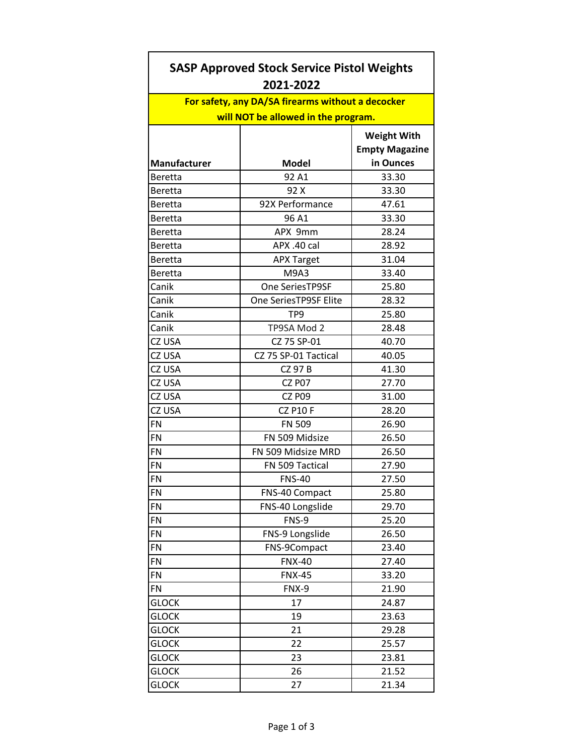| <b>SASP Approved Stock Service Pistol Weights</b><br>2021-2022<br>For safety, any DA/SA firearms without a decocker<br>will NOT be allowed in the program. |                       |           |  |  |  |  |                       |
|------------------------------------------------------------------------------------------------------------------------------------------------------------|-----------------------|-----------|--|--|--|--|-----------------------|
|                                                                                                                                                            |                       |           |  |  |  |  | <b>Weight With</b>    |
|                                                                                                                                                            |                       |           |  |  |  |  | <b>Empty Magazine</b> |
| <b>Manufacturer</b>                                                                                                                                        | Model                 | in Ounces |  |  |  |  |                       |
| <b>Beretta</b>                                                                                                                                             | 92 A1                 | 33.30     |  |  |  |  |                       |
| <b>Beretta</b>                                                                                                                                             | 92 X                  | 33.30     |  |  |  |  |                       |
| <b>Beretta</b>                                                                                                                                             | 92X Performance       | 47.61     |  |  |  |  |                       |
| <b>Beretta</b>                                                                                                                                             | 96 A1                 | 33.30     |  |  |  |  |                       |
| <b>Beretta</b>                                                                                                                                             | APX 9mm               | 28.24     |  |  |  |  |                       |
| <b>Beretta</b>                                                                                                                                             | APX .40 cal           | 28.92     |  |  |  |  |                       |
| <b>Beretta</b>                                                                                                                                             | <b>APX Target</b>     | 31.04     |  |  |  |  |                       |
| <b>Beretta</b>                                                                                                                                             | M9A3                  | 33.40     |  |  |  |  |                       |
| Canik                                                                                                                                                      | One SeriesTP9SF       | 25.80     |  |  |  |  |                       |
| Canik                                                                                                                                                      | One SeriesTP9SF Elite | 28.32     |  |  |  |  |                       |
| Canik                                                                                                                                                      | TP <sub>9</sub>       | 25.80     |  |  |  |  |                       |
| Canik                                                                                                                                                      | TP9SA Mod 2           | 28.48     |  |  |  |  |                       |
| CZ USA                                                                                                                                                     | CZ 75 SP-01           | 40.70     |  |  |  |  |                       |
| CZ USA                                                                                                                                                     | CZ 75 SP-01 Tactical  | 40.05     |  |  |  |  |                       |
| CZ USA                                                                                                                                                     | CZ 97 B               | 41.30     |  |  |  |  |                       |
| CZ USA                                                                                                                                                     | <b>CZ P07</b>         | 27.70     |  |  |  |  |                       |
| CZ USA                                                                                                                                                     | <b>CZ P09</b>         | 31.00     |  |  |  |  |                       |
| CZ USA                                                                                                                                                     | <b>CZ P10 F</b>       | 28.20     |  |  |  |  |                       |
| FN                                                                                                                                                         | <b>FN 509</b>         | 26.90     |  |  |  |  |                       |
| <b>FN</b>                                                                                                                                                  | FN 509 Midsize        | 26.50     |  |  |  |  |                       |
| <b>FN</b>                                                                                                                                                  | FN 509 Midsize MRD    | 26.50     |  |  |  |  |                       |
| <b>FN</b>                                                                                                                                                  | FN 509 Tactical       | 27.90     |  |  |  |  |                       |
| FN                                                                                                                                                         | <b>FNS-40</b>         | 27.50     |  |  |  |  |                       |
| <b>FN</b>                                                                                                                                                  | FNS-40 Compact        | 25.80     |  |  |  |  |                       |
| <b>FN</b>                                                                                                                                                  | FNS-40 Longslide      | 29.70     |  |  |  |  |                       |
| FN                                                                                                                                                         | FNS-9                 | 25.20     |  |  |  |  |                       |
| <b>FN</b>                                                                                                                                                  | FNS-9 Longslide       | 26.50     |  |  |  |  |                       |
| <b>FN</b>                                                                                                                                                  | FNS-9Compact          | 23.40     |  |  |  |  |                       |
| <b>FN</b>                                                                                                                                                  | <b>FNX-40</b>         | 27.40     |  |  |  |  |                       |
| <b>FN</b>                                                                                                                                                  | <b>FNX-45</b>         | 33.20     |  |  |  |  |                       |
| <b>FN</b>                                                                                                                                                  | FNX-9                 | 21.90     |  |  |  |  |                       |
| <b>GLOCK</b>                                                                                                                                               | 17                    | 24.87     |  |  |  |  |                       |
| <b>GLOCK</b>                                                                                                                                               | 19                    | 23.63     |  |  |  |  |                       |
| <b>GLOCK</b>                                                                                                                                               | 21                    | 29.28     |  |  |  |  |                       |
| <b>GLOCK</b>                                                                                                                                               | 22                    | 25.57     |  |  |  |  |                       |
| <b>GLOCK</b>                                                                                                                                               | 23                    | 23.81     |  |  |  |  |                       |
| <b>GLOCK</b>                                                                                                                                               | 26                    | 21.52     |  |  |  |  |                       |
| <b>GLOCK</b>                                                                                                                                               | 27                    | 21.34     |  |  |  |  |                       |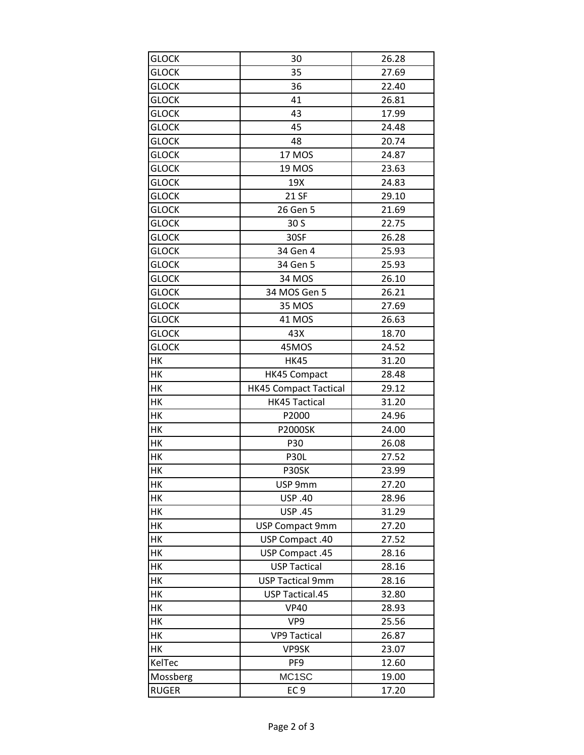| <b>GLOCK</b>             | 30                           | 26.28          |
|--------------------------|------------------------------|----------------|
| <b>GLOCK</b>             | 35                           | 27.69          |
| <b>GLOCK</b>             | 36                           | 22.40          |
| <b>GLOCK</b>             | 41                           | 26.81          |
| <b>GLOCK</b>             | 43                           | 17.99          |
| <b>GLOCK</b>             | 45                           | 24.48          |
| <b>GLOCK</b>             | 48                           | 20.74          |
| <b>GLOCK</b>             | 17 MOS                       | 24.87          |
| <b>GLOCK</b>             | <b>19 MOS</b>                | 23.63          |
| <b>GLOCK</b>             | 19X                          | 24.83          |
| <b>GLOCK</b>             | 21 SF                        | 29.10          |
| <b>GLOCK</b>             | 26 Gen 5                     | 21.69          |
| <b>GLOCK</b>             | 30 S                         | 22.75          |
| <b>GLOCK</b>             | 30SF                         | 26.28          |
| <b>GLOCK</b>             | 34 Gen 4                     | 25.93          |
| <b>GLOCK</b>             | 34 Gen 5                     | 25.93          |
| <b>GLOCK</b>             | 34 MOS                       | 26.10          |
| <b>GLOCK</b>             | 34 MOS Gen 5                 | 26.21          |
| <b>GLOCK</b>             | 35 MOS                       | 27.69          |
| <b>GLOCK</b>             | 41 MOS                       | 26.63          |
| <b>GLOCK</b>             | 43X                          | 18.70          |
| <b>GLOCK</b>             | 45MOS                        | 24.52          |
| HK                       | <b>HK45</b>                  | 31.20          |
| HК                       | HK45 Compact                 | 28.48          |
|                          | <b>HK45 Compact Tactical</b> | 29.12          |
| HK                       |                              |                |
| HK                       | <b>HK45 Tactical</b>         | 31.20          |
| HK                       | P2000                        | 24.96          |
| HK                       | <b>P2000SK</b>               | 24.00          |
| НK                       | P30                          | 26.08          |
| HK                       | <b>P30L</b>                  | 27.52          |
| HK                       | P30SK                        | 23.99          |
| НK                       | USP 9mm                      | 27.20          |
| НK                       | <b>USP.40</b>                | 28.96          |
| HК                       | <b>USP.45</b>                | 31.29          |
| HK                       | USP Compact 9mm              | 27.20          |
| НK                       | USP Compact .40              | 27.52          |
| НK                       | USP Compact .45              | 28.16          |
| HK                       | <b>USP Tactical</b>          | 28.16          |
| HK                       | <b>USP Tactical 9mm</b>      | 28.16          |
| HK                       | <b>USP Tactical.45</b>       | 32.80          |
| НK                       | <b>VP40</b>                  | 28.93          |
| НK                       | VP9                          | 25.56          |
| HK                       | <b>VP9 Tactical</b>          | 26.87          |
| HK                       | VP9SK                        | 23.07          |
| KelTec                   | PF9                          | 12.60          |
| Mossberg<br><b>RUGER</b> | MC1SC<br>EC <sub>9</sub>     | 19.00<br>17.20 |